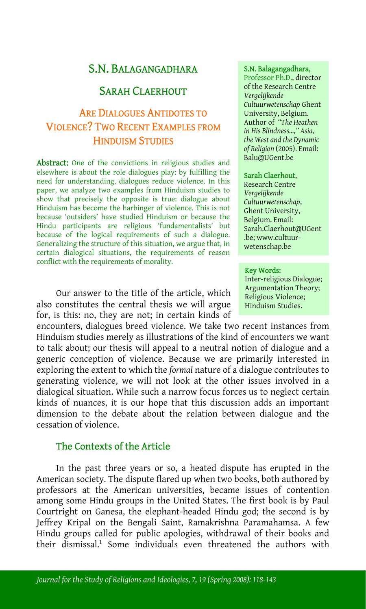# S.N. BALAGANGADHARA S.N. Balagangadhara,

## SARAH CLAERHOUT

# ARE DIALOGUES ANTIDOTES TO VIOLENCE? TWO RECENT EXAMPLES FROM HINDUISM STUDIES

Abstract: One of the convictions in religious studies and elsewhere is about the role dialogues play: by fulfilling the need for understanding, dialogues reduce violence. In this paper, we analyze two examples from Hinduism studies to show that precisely the opposite is true: dialogue about Hinduism has become the harbinger of violence. This is not because 'outsiders' have studied Hinduism or because the Hindu participants are religious 'fundamentalists' but because of the logical requirements of such a dialogue. Generalizing the structure of this situation, we argue that, in certain dialogical situations, the requirements of reason conflict with the requirements of morality.

Our answer to the title of the article, which also constitutes the central thesis we will argue for, is this: no, they are not; in certain kinds of

encounters, dialogues breed violence. We take two recent instances from Hinduism studies merely as illustrations of the kind of encounters we want to talk about; our thesis will appeal to a neutral notion of dialogue and a generic conception of violence. Because we are primarily interested in exploring the extent to which the *formal* nature of a dialogue contributes to generating violence, we will not look at the other issues involved in a dialogical situation. While such a narrow focus forces us to neglect certain kinds of nuances, it is our hope that this discussion adds an important dimension to the debate about the relation between dialogue and the cessation of violence.

## The Contexts of the Article

In the past three years or so, [a](#page-24-0) heated dispute has erupted in the American society. The dispute flared up when two books, both authored by professors at the American universities, became issues of contention among some Hindu groups in the United States. The first book is by Paul Courtright on Ganesa, the elephant-headed Hindu god; the second is by Jeffrey Kripal on the Bengali Saint, Ramakrishna Paramahamsa. A few Hindu groups called for public apologies, withdrawal of their books and their dismissal.<sup>1</sup> Some individuals even threatened the authors with

Professor Ph.D., director of the Research Centre *Vergelijkende Cultuurwetenschap* Ghent University, Belgium. Author of *"The Heathen in His Blindness…," Asia, the West and the Dynamic of Religion* (2005). Email: Balu@UGent.be

#### Sarah Claerhout,

Research Centre *Vergelijkende Cultuurwetenschap*, Ghent University, Belgium. Email: Sarah.Claerhout@UGent .be; www.cultuurwetenschap.be

#### Key Words:

Inter-religious Dialogue; Argumentation Theory; Religious Violence; Hinduism Studies.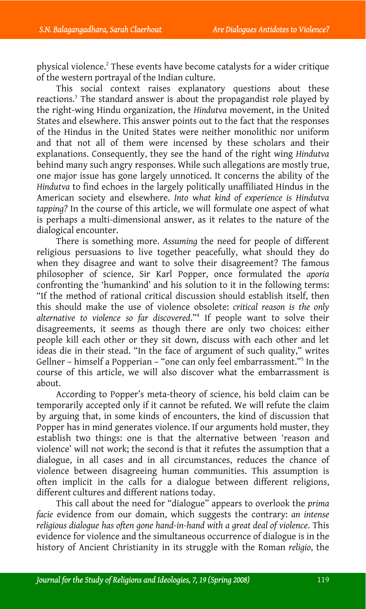physical violence.<sup>2</sup> These events have become catalysts for a wider critique of the western portrayal of the Indian culture.

This social context raises explanatory questions about these reactions.<sup>3</sup> The standard answer is about the propagandist role played by the right-wing Hindu organization, the *Hindutva* movement, in the United States and elsewhere. This answer points out to the fact that the responses of the Hindus in the United States were neither monolithic nor uniform and that not all of them were incensed by these scholars and their explanations. Consequently, they see the hand of the right wing *Hindutva* behind many such angry responses. While such allegations are mostly true, one major issue has gone largely unnoticed. It concerns the ability of the *Hindutva* to find echoes in the largely politically unaffiliated Hindus in the American society and elsewhere. *Into* w*hat kind of experience is Hindutva tapping?* In the course of this article, we will formulate one aspect of what is perhaps a multi-dimensional answer, as it relates to the nature of the dialogical encounter.

There is something more. *Assuming* the need for peopl[e](#page-24-2) of different religious persuasions to live together peacefully, what should they do when they disagree and want to solve their disagreement? The famous philosopher of science, Sir Karl Popper, once formulated the *aporia* confronting the 'humankind' and his solution to it in the following terms: "If the method of rational critical discussion should establish itself, then this should make the use of violence obsolete: *critical reason is the only alternative to violence so far discovered*."4 If people want to solve their disagreements, it seems as though there are only two choices: either people kill each other or they sit down, discuss with each other and let ideas die in their stead. "In the face of argument of such quality," writes Gellner – himself a Popperian – "one can only feel embarrassment."5 In the course of this article, we will also discover what the embarrassment is about.

According to Popper's meta-theory of science, his bold claim can be temporarily accepted only if it cannot be refuted. We will refute the claim by arguing that, in some kinds of encounters, the kind of discussion that Popper has in mind generates violence. If our arguments hold muster, they establish two things: one is that the alternative between 'reason and violence' will not work; the second is that it refutes the assumption that a dialogue, in all cases and in all circumstances, reduces the chance of violence between disagreeing human communities. This assumption is often implicit in the calls for a dialogue between different religions, different cultures and different nations today.

This call about the need for "dialogue" appears to overlook the *prima facie* evidence from our domain, which suggests the contrary: *an intense religious dialogue has often gone hand-in-hand with a great deal of violence*. This evidence for violence and the simultaneous occurrence of dialogue is in the history of Ancient Christianity in its struggle with the Roman *religio*, the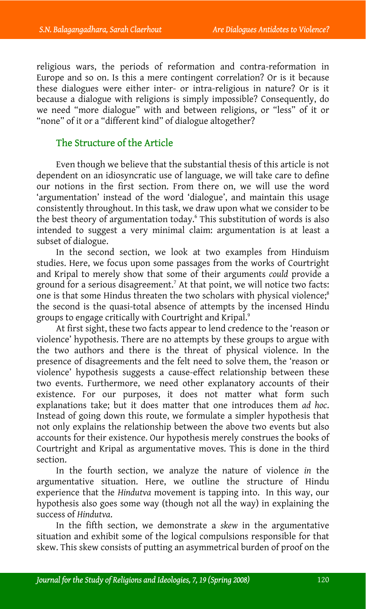religious wars, the periods of reformation and contra-reformation in Europe and so on. Is this a mere contingent correlation? Or is it because these dialogues were either inter- or intra-religious in nature? Or is it because a dialogue with religions is simply impossible? Consequently, do we need "more dialogue" with and between religions, or "less" of it or "none" of it or a "different kind" of dialogue altogether?

## The Structure of the Article

Even though we believe that the substantial thesis of this article is not dependent on an idiosyncratic use of language, we will take care to define our notions in the first section. From there on, we will use the word 'argumentation' instead of the word 'dialogue', and maintain this usage consistently throughout. In this task, we draw upon wh[at](#page-24-3) we consider to be the best theory of argumentation today.<sup>6</sup> This substitution of words is also intended to suggest a very minimal claim: argumentation is at least a subset of dialogue.

In the second section, we look at two examples from Hinduis[m](#page-24-4) studies. Here, we focus upon some passages from the works of Courtright and Kripal to merely show that some of their arguments *could* provide a ground for a serious disagreement.<sup>7</sup> At that point, we will notice two facts: one is that some Hindus threaten the two scholars with physical violence;<sup>8</sup> the second is the quasi-total absence of attempts by the incensed Hindu groups to engage critically with Courtright and Kripal.<sup>9</sup>

At first sight, these two facts appear to lend credence to the 'reason or violence' hypothesis. There are no attempts by these groups to argue with the two authors and there is the threat of physical violence. In the presence of disagreements and the felt need to solve them, the 'reason or violence' hypothesis suggests a cause-effect relationship between these two events. Furthermore, we need other explanatory accounts of their existence. For our purposes, it does not matter what form such explanations take; but it does matter that one introduces them *ad hoc*. Instead of going down this route, we formulate a simpler hypothesis that not only explains the relationship between the above two events but also accounts for their existence. Our hypothesis merely construes the books of Courtright and Kripal as argumentative moves. This is done in the third section.

In the fourth section, we analyze the nature of violence *in* the argumentative situation. Here, we outline the structure of Hindu experience that the *Hindutva* movement is tapping into. In this way, our hypothesis also goes some way (though not all the way) in explaining the success of *Hindutva*.

In the fifth section, we demonstrate a *skew* in the argumentative situation and exhibit some of the logical compulsions responsible for that skew. This skew consists of putting an asymmetrical burden of proof on the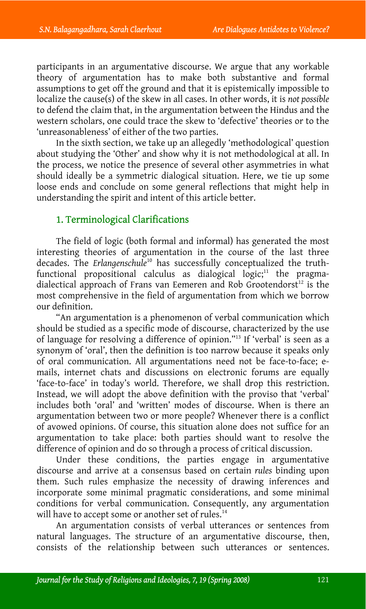participants in an argumentative discourse. We argue that any workable theory of argumentation has to make both substantive and formal assumptions to get off the ground and that it is epistemically impossible to localize the cause(s) of the skew in all cases. In other words, it is *not possible* to defend the claim that, in the argumentation between the Hindus and the western scholars, one could trace the skew to 'defective' theories or to the 'unreasonableness' of either of the two parties.

In the sixth section, we take up an allegedly 'methodological' question about studying the 'Other' and show why it is not methodological at all. In the process, we notice the presence of several other asymmetries in what should ideally be a symmetric dialogical situation. Here, we tie up some loose ends and conclude on some general refle[ct](#page-24-5)ions that might help in understanding the spirit and intent of this article better.

## 1. Terminological Clarifications

The field of logic (both formal and informal) has generated the most interesting theories of argumentation in the course of the last three decades. The *Erlangenschule*10 has successfully conceptualized the tr[uth](#page-24-6)functional propositional calculus as dialogical  $logic<sub>i</sub>$ <sup>11</sup> the pragmadialectical approach of Frans van Eemeren and Rob Grootendorst<sup>12</sup> is the most comprehensive in the field of argumentation from which we borrow our definition.

"An argumentation is a phenomenon of verbal communication which should be studied as a specific mode of discourse, characterized by the use of language for resolving a difference of opinion."13 If 'verbal' is seen as a synonym of 'oral', then the definition is too narrow because it speaks only of oral communication. All argumentations need not be face-to-face; emails, internet chats and discussions on electronic forums are equally 'face-to-face' in today's world. Therefore, we shall drop this restriction. Instead, we will adopt the above definition with the proviso that 'verbal' includes both 'oral' and 'written' modes of discourse. When is there an argumentation between two or more people? Whenever there is a conflict of avowed opinions. Of course, this situation alone does not suffice for an argumentation to take place: both parties should want to resol[ve](#page-24-7) the difference of opinion and do so through a process of critical discussion.

Under these conditions, the parties engage in argumentative discourse and arrive at a consensus based on certain *rules* binding upon them. Such rules emphasize the necessity of drawing inferences and incorporate some minimal pragmatic considerations, and some minimal conditions for verbal communication. Consequently, any argumentation will have to accept some or another set of rules.<sup>14</sup>

An argumentation consists of verbal utterances or sentences from natural languages. The structure of an argumentative discourse, then, consists of the relationship between such utterances or sentences.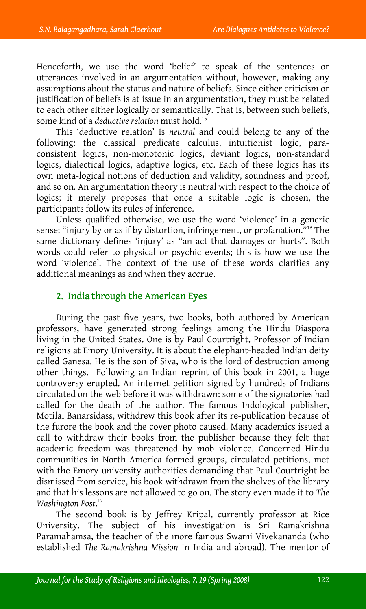Henceforth, we use the word 'belief' to speak of the sentences or utterances involved in an argumentation without, however, making any assumptions about the status and nature of beliefs. Since either criticism or justification of beliefs is at issue in an argumentation, they must be related to each other either logically or semantically. That is, between such beliefs, some kind of a *deductive relation* must hold.15

This 'deductive relation' is *neutral* and could belong to any of the following: the classical predicate calculus, intuitionist logic, paraconsistent logics, non-monotonic logics, deviant logics, non-standard logics, dialectical logics, adaptive logics, etc. Each of these logics has its own meta-logical notions of deduction and validity, soundness and proof, and so on. An argumentation theory is neutral with respect to the choice of logics; it merely proposes that once a suitable logic is chosen, the participants follow its rules of inference.

Unless qualified otherwise, we use the word 'violence' in a generic sense: "injury by or as if by distortion, infringement, or profanation."16 The same dictionary defines 'injury' as "an act that damages or hurts". Both words could refer to physical or psychic events; this is how we use the word 'violence'. The context of the use of these words clarifies any additional meanings as and when they accrue.

## 2. India through the American Eyes

During the past five years, two books, both authored by American professors, have generated strong feelings among the Hindu Diaspora living in the United States. One is by Paul Courtright, Professor of Indian religions at Emory University. It is about the elephant-headed Indian deity called Ganesa. He is the son of Siva, who is the lord of destruction among other things. Following an Indian reprint of this book in 2001, a huge controversy erupted. An internet petition signed by hundreds of Indians circulated on the web before it was withdrawn: some of the signatories had called for the death of the author. The famous Indological publisher, Motilal Banarsidass, withdrew this book after its re-publication because of the furore the book and the cover p[ho](#page-24-8)to caused. Many academics issued a call to withdraw their books from the publisher because they felt that academic freedom was threatened by mob violence. Concerned Hindu communities in North America formed groups, circulated petitions, met with the Emory university authorities demanding that Paul Courtright be dismissed from service, his book withdrawn from the shelves of the library and that his lessons are not allowed to go on. The story even made it to *The Washington Post*. 17

The second book is by Jeffrey Kripal, currently professor at Rice University. The subject of his investigation is Sri Ramakrishna Paramahamsa, the teacher of the more famous Swami Vivekananda (who established *The Ramakrishna Mission* in India and abroad). The mentor of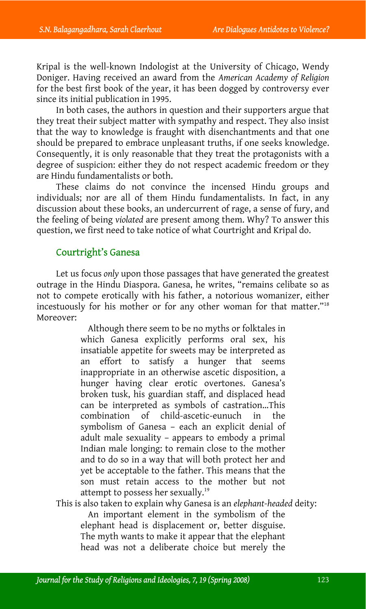Kripal is the well-known Indologist at the University of Chicago, Wendy Doniger. Having received an award from the *American Academy of Religion* for the best first book of the year, it has been dogged by controversy ever since its initial publication in 1995.

In both cases, the authors in question and their supporters argue that they treat their subject matter with sympathy and respect. They also insist that the way to knowledge is fraught with disenchantments and that one should be prepared to embrace unpleasant truths, if one seeks knowledge. Consequently, it is only reasonable that they treat the protagonists with a degree of suspicion: either they do not respect academic freedom or they are Hindu fundamentalists or both.

These claims do not convince the incensed Hindu groups and individuals; nor are all of them Hindu fundamentalists. In fact, in any discussion about these books, an undercurrent of rage, a sense of fury, and the feeling of being *violated* are present among them. Why? To answer this question, we first need to take notice of what Courtright and Kripal do.

### Courtright's Ganesa

Let us focus *only* upon those passages that have generated the greatest outrage in the Hindu Diaspora. Ganesa, he writes, "remains celibate so as not to compete erotically with his father, a notorious womanizer, either incestuously for his mother or for any other woman for that matter."18 Moreover:

> Although there seem to be no myths or folktales in which Ganesa explicitly performs oral sex, his insatiable appetite for sweets may be interpreted as an effort to satisfy a hunger that seems inappropriate in an otherwise ascetic disposition, a hunger having clear erotic overtones. Ganesa's broken tusk, his guardian staff, and displaced head can be interpreted as symbols of castration…This combination of child-ascetic-eunuch in th[e](#page-24-9) symbolism of Ganesa – each an explicit denial of adult male sexuality – appears to embody a primal Indian male longing: to remain close to the mother and to do so in a way that will both protect her and yet be acceptable to the father. This means that the son must retain access to the mother but not attempt to possess her sexually.<sup>19</sup>

This is also taken to explain why Ganesa is an *elephant-headed* deity:

An important element in the symbolism of the elephant head is displacement or, better disguise. The myth wants to make it appear that the elephant head was not a deliberate choice but merely the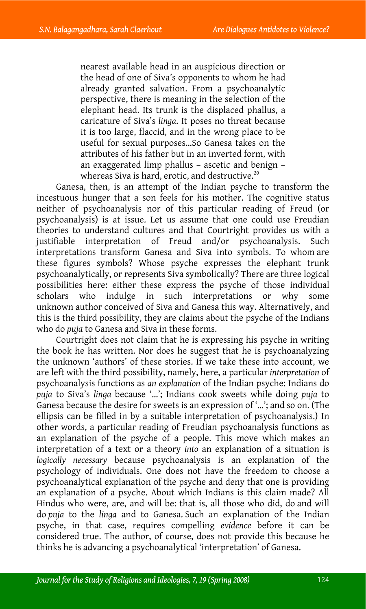nearest available head in an auspicious direction or the head of one of Siva's opponents to whom he had already granted salvation. From a psychoanalytic perspective, there is meaning in the selection of the elephant head. Its trunk is the displaced phallus, a caricature of Siva's *linga*. It poses no threat because it is too large, flaccid, and in the wrong place to be useful for sexual purposes…So Ganesa takes on the attributes of his father but in an inverted form, with an exaggerated limp phallus – ascetic and benign – whereas Siva is hard, erotic, and destructive.<sup>20</sup>

Ganesa, then, is an attempt of the Indian psyche to transform the incestuous hunger that a son feels for his mother. The cognitive status neither of psychoanalysis nor of this particular reading of Freud (or psychoanalysis) is at issue. Let us assume that one could use Freudian theories to understand cultures and that Courtright provides us with a justifiable interpretation of Freud and/or psychoanalysis. Such interpretations transform Ganesa and Siva into symbols. To whom are these figures symbols? Whose psyche expresses the elephant trunk psychoanalytically, or represents Siva symbolically? There are three logical possibilities here: either these express the psyche of those individual scholars who indulge in such interpretations or why some unknown author conceived of Siva and Ganesa this way. Alternatively, and this is the third possibility, they are claims about the psyche of the Indians who do *puja* to Ganesa and Siva in these forms.

Courtright does not claim that he is expressing his psyche in writing the book he has written. Nor does he suggest that he is psychoanalyzing the unknown 'authors' of these stories. If we take these into account, we are left with the third possibility, namely, here, a particular *interpretation* of psychoanalysis functions as *an explanation* of the Indian psyche: Indians do *puja* to Siva's *linga* because '…'; Indians cook sweets while doing *puja* to Ganesa because the desire for sweets is an expression of '…'; and so on. (The ellipsis can be filled in by a suitable interpretation of psychoanalysis.) In other words, a particular reading of Freudian psychoanalysis functions as an explanation of the psyche of a people. This move which makes an interpretation of a text or a theory *into* an explanation of a situation is *logically necessary* because psychoanalysis is an explanation of the psychology of individuals. One does not have the freedom to choose a psychoanalytical explanation of the psyche and deny that one is providing an explanation of a psyche. About which Indians is this claim made? All Hindus who were, are, and will be: that is, all those who did, do and will do *puja* to the *linga* and to Ganesa. Such an explanation of the Indian psyche, in that case, requires compelling *evidence* before it can be considered true. The author, of course, does not provide this because he thinks he is advancing a psychoanalytical 'interpretation' of Ganesa.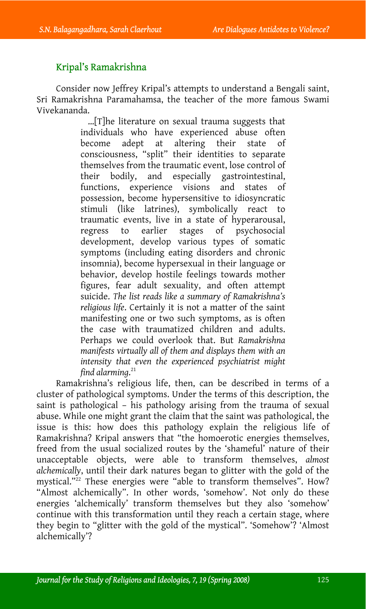## Kripal's Ramakrishna

Consider now Jeffrey Kripal's attempts to understand a Bengali saint, Sri Ramakrishna Paramahamsa, the teacher of the more famous Swami Vivekananda.

> …[T]he literature on sexual trauma suggests that individuals who have experienced abuse often become adept at altering their state of consciousness, "split" their identities to separate themselves from the traumatic event, lose control of their bodily, and especially gastrointestinal, functions, experience visions and states of possession, become hypersensitive to idiosyncratic stimuli (like latrines), symbolically react to traumatic events, live in a state of hyperarousal, regress to earlier stages of psychosocial development, develop various types of somatic symptoms (including eating disorders and chronic insomnia), become hypersexual in their language or behavior, develop hostile feelings towards mother figures, fear adult sexuality, and often attempt suicide. *The list reads like a summ[ary](#page-24-10) of Ramakrishna's religious life*. Certainly it is not a matter of the saint manifesting one or two such symptoms, as is often the case with traumatized children and adults. Perhaps we could overlook that. But *Ramakrishna manifests virtually all of them and displays them with an intensity that even the experienced psychiatrist might find alarming*. 21

Ramakrishna's religious life, then, can be described in terms of a cluster of pathological symptoms. Under the terms of this description, the saint is pathological – his pa[th](#page-24-11)ology arising from the trauma of sexual abuse. While one might grant the claim that the saint was pathological, the issue is this: how does this pathology explain the religious life of Ramakrishna? Kripal answers that "the homoerotic energies themselves, freed from the usual socialized routes by the 'shameful' nature of their unacceptable objects, were able to transform themselves, *almost alchemically*, until their dark natures began to glitter with the gold of the mystical."<sup>22</sup> These energies were "able to transform themselves". How? "Almost alchemically". In other words, 'somehow'. Not only do these energies 'alchemically' transform themselves but they also 'somehow' continue with this transformation until they reach a certain stage, where they begin to "glitter with the gold of the mystical". 'Somehow'? 'Almost alchemically'?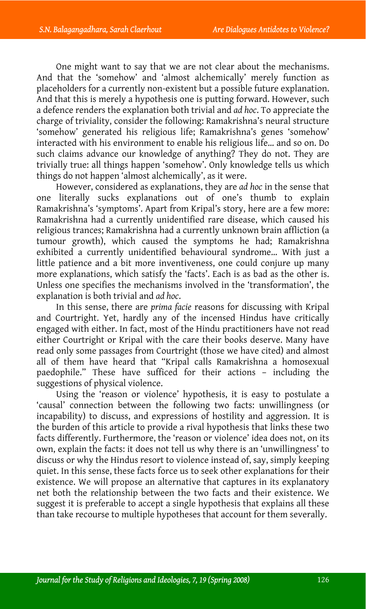One might want to say that we are not clear about the mechanisms. And that the 'somehow' and 'almost alchemically' merely function as placeholders for a currently non-existent but a possible future explanation. And that this is merely a hypothesis one is putting forward. However, such a defence renders the explanation both trivial and *ad hoc*. To appreciate the charge of triviality, consider the following: Ramakrishna's neural structure 'somehow' generated his religious life; Ramakrishna's genes 'somehow' interacted with his environment to enable his religious life… and so on. Do such claims advance our knowledge of anything? They do not. They are trivially true: all things happen 'somehow'. Only knowledge tells us which things do not happen 'almost alchemically', as it were.

However, considered as explanations, they are *ad hoc* in the sense that one literally sucks explanations out of one's thumb to explain Ramakrishna's 'symptoms'. Apart from Kripal's story, here are a few more: Ramakrishna had a currently unidentified rare disease, which caused his religious trances; Ramakrishna had a currently unknown brain affliction (a tumour growth), which caused the symptoms he had; Ramakrishna exhibited a currently unidentified behavioural syndrome… With just a little patience and a bit more inventiveness, one could conjure up many more explanations, which satisfy the 'facts'. Each is as bad as the other is. Unless one specifies the mechanisms involved in the 'transformation', the explanation is both trivial and *ad hoc*.

In this sense, there are *prima facie* reasons for discussing with Kripal and Courtright. Yet, hardly any of the incensed Hindus have critically engaged with either. In fact, most of the Hindu practitioners have not read either Courtright or Kripal with the care their books deserve. Many have read only some passages from Courtright (those we have cited) and almost all of them have heard that "Kripal calls Ramakrishna a homosexual paedophile." These have sufficed for their actions – including the suggestions of physical violence.

Using the 'reason or violence' hypothesis, it is easy to postulate a 'causal' connection between the following two facts: unwillingness (or incapability) to discuss, and expressions of hostility and aggression. It is the burden of this article to provide a rival hypothesis that links these two facts differently. Furthermore, the 'reason or violence' idea does not, on its own, explain the facts: it does not tell us why there is an 'unwillingness' to discuss or why the Hindus resort to violence instead of, say, simply keeping quiet. In this sense, these facts force us to seek other explanations for their existence. We will propose an alternative that captures in its explanatory net both the relationship between the two facts and their existence. We suggest it is preferable to accept a single hypothesis that explains all these than take recourse to multiple hypotheses that account for them severally.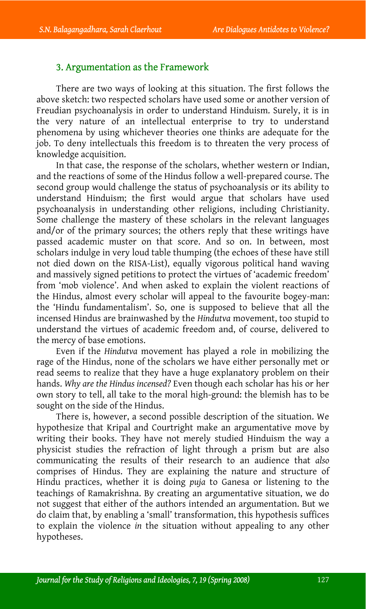### 3. Argumentation as the Framework

There are two ways of looking at this situation. The first follows the above sketch: two respected scholars have used some or another version of Freudian psychoanalysis in order to understand Hinduism. Surely, it is in the very nature of an intellectual enterprise to try to understand phenomena by using whichever theories one thinks are adequate for the job. To deny intellectuals this freedom is to threaten the very process of knowledge acquisition.

In that case, the response of the scholars, whether western or Indian, and the reactions of some of the Hindus follow a well-prepared course. The second group would challenge the status of psychoanalysis or its ability to understand Hinduism; the first would argue that scholars have used psychoanalysis in understanding other religions, including Christianity. Some challenge the mastery of these scholars in the relevant languages and/or of the primary sources; the others reply that these writings have passed academic muster on that score. And so on. In between, most scholars indulge in very loud table thumping (the echoes of these have still not died down on the RISA-List), equally vigorous political hand waving and massively signed petitions to protect the virtues of 'academic freedom' from 'mob violence'. And when asked to explain the violent reactions of the Hindus, almost every scholar will appeal to the favourite bogey-man: the 'Hindu fundamentalism'. So, one is supposed to believe that all the incensed Hindus are brainwashed by the *Hindutva* movement, too stupid to understand the virtues of academic freedom and, of course, delivered to the mercy of base emotions.

Even if the *Hindutva* movement has played a role in mobilizing the rage of the Hindus, none of the scholars we have either personally met or read seems to realize that they have a huge explanatory problem on their hands. *Why are the Hindus incensed?* Even though each scholar has his or her own story to tell, all take to the moral high-ground: the blemish has to be sought on the side of the Hindus.

There is, however, a second possible description of the situation. We hypothesize that Kripal and Courtright make an argumentative move by writing their books. They have not merely studied Hinduism the way a physicist studies the refraction of light through a prism but are also communicating the results of their research to an audience that *also* comprises of Hindus. They are explaining the nature and structure of Hindu practices, whether it is doing *puja* to Ganesa or listening to the teachings of Ramakrishna. By creating an argumentative situation, we do not suggest that either of the authors intended an argumentation. But we do claim that, by enabling a 'small' transformation, this hypothesis suffices to explain the violence *in* the situation without appealing to any other hypotheses.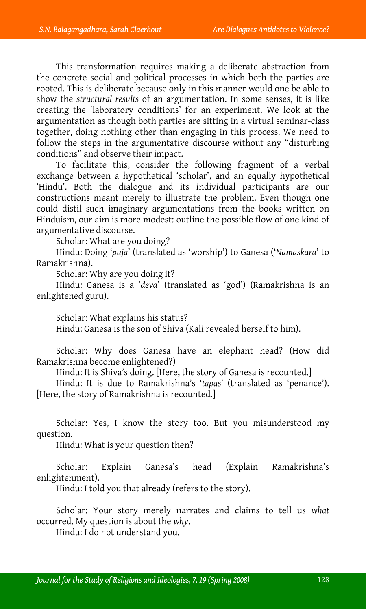This transformation requires making a deliberate abstraction from the concrete social and political processes in which both the parties are rooted. This is deliberate because only in this manner would one be able to show the *structural results* of an argumentation. In some senses, it is like creating the 'laboratory conditions' for an experiment. We look at the argumentation as though both parties are sitting in a virtual seminar-class together, doing nothing other than engaging in this process. We need to follow the steps in the argumentative discourse without any "disturbing conditions" and observe their impact.

To facilitate this, consider the following fragment of a verbal exchange between a hypothetical 'scholar', and an equally hypothetical 'Hindu'. Both the dialogue and its individual participants are our constructions meant merely to illustrate the problem. Even though one could distil such imaginary argumentations from the books written on Hinduism, our aim is more modest: outline the possible flow of one kind of argumentative discourse.

Scholar: What are you doing?

Hindu: Doing '*puja*' (translated as 'worship') to Ganesa ('*Namaskara*' to Ramakrishna).

Scholar: Why are you doing it?

Hindu: Ganesa is a '*deva*' (translated as 'god') (Ramakrishna is an enlightened guru).

Scholar: What explains his status?

Hindu: Ganesa is the son of Shiva (Kali revealed herself to him).

Scholar: Why does Ganesa have an elephant head? (How did Ramakrishna become enlightened?)

Hindu: It is Shiva's doing. [Here, the story of Ganesa is recounted.]

Hindu: It is due to Ramakrishna's '*tapas*' (translated as 'penance'). [Here, the story of Ramakrishna is recounted.]

Scholar: Yes, I know the story too. But you misunderstood my question.

Hindu: What is your question then?

Scholar: Explain Ganesa's head (Explain Ramakrishna's enlightenment).

Hindu: I told you that already (refers to the story).

Scholar: Your story merely narrates and claims to tell us *what* occurred. My question is about the *why*.

Hindu: I do not understand you.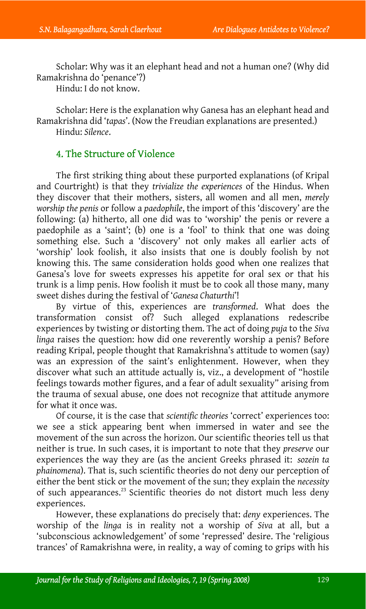Scholar: Why was it an elephant head and not a human one? (Why did Ramakrishna do 'penance'?)

Hindu: I do not know.

Scholar: Here is the explanation why Ganesa has an elephant head and Ramakrishna did '*tapas*'. (Now the Freudian explanations are presented.) Hindu: *Silence*.

## 4. The Structure of Violence

The first striking thing about these purported explanations (of Kripal and Courtright) is that they *trivialize the experiences* of the Hindus. When they discover that their mothers, sisters, all women and all men, *merely worship the penis* or follow a *paedophile*, the import of this 'discovery' are the following: (a) hitherto, all one did was to 'worship' the penis or revere a paedophile as a 'saint'; (b) one is a 'fool' to think that one was doing something else. Such a 'discovery' not only makes all earlier acts of 'worship' look foolish, it also insists that one is doubly foolish by not knowing this. The same consideration holds good when one realizes that Ganesa's love for sweets expresses his appetite for oral sex or that his trunk is a limp penis. How foolish it must be to cook all those many, many sweet dishes during the festival of '*Ganesa Chaturthi*'!

By virtue of this, experiences are *transformed*. What does the transformation consist of? Such alleged explanations redescribe experiences by twisting or distorting them. The act of doing *puja* to the *Siva linga* raises the question: how did one reverently worship a penis? Before reading Kripal, people thought that Ramakrishna's attitude to women (say) was an expression of the saint's enlightenment. However, when they discover what such an attitude actually is, viz., a development of "hostile feelings towards mother figures, and a fear of adult sexuality" arising from the trauma of sexual abuse, one does not recognize that attitude anymore for what it once was.

Of course, it is the case that *scientific [the](#page-24-12)ories* 'correct' experiences too: we see a stick appearing bent when immersed in water and see the movement of the sun across the horizon. Our scientific theories tell us that neither is true. In such cases, it is important to note that they *preserve* our experiences the way they are (as the ancient Greeks phrased it: *sozein ta phainomena*). That is, such scientific theories do not deny our perception of either the bent stick or the movement of the sun; they explain the *necessity* of such appearances.<sup>23</sup> Scientific theories do not distort much less deny experiences.

However, these explanations do precisely that: *deny* experiences. The worship of the *linga* is in reality not a worship of *Siva* at all, but a 'subconscious acknowledgement' of some 'repressed' desire. The 'religious trances' of Ramakrishna were, in reality, a way of coming to grips with his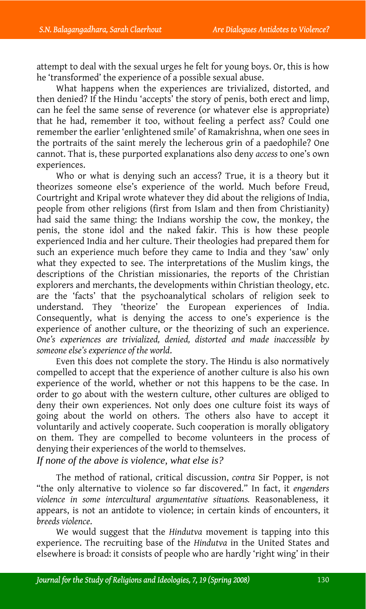attempt to deal with the sexual urges he felt for young boys. Or, this is how he 'transformed' the experience of a possible sexual abuse.

What happens when the experiences are trivialized, distorted, and then denied? If the Hindu 'accepts' the story of penis, both erect and limp, can he feel the same sense of reverence (or whatever else is appropriate) that he had, remember it too, without feeling a perfect ass? Could one remember the earlier 'enlightened smile' of Ramakrishna, when one sees in the portraits of the saint merely the lecherous grin of a paedophile? One cannot. That is, these purported explanations also deny *access* to one's own experiences.

Who or what is denying such an access? True, it is a theory but it theorizes someone else's experience of the world. Much before Freud, Courtright and Kripal wrote whatever they did about the religions of India, people from other religions (first from Islam and then from Christianity) had said the same thing: the Indians worship the cow, the monkey, the penis, the stone idol and the naked fakir. This is how these people experienced India and her culture. Their theologies had prepared them for such an experience much before they came to India and they 'saw' only what they expected to see. The interpretations of the Muslim kings, the descriptions of the Christian missionaries, the reports of the Christian explorers and merchants, the developments within Christian theology, etc. are the 'facts' that the psychoanalytical scholars of religion seek to understand. They 'theorize' the European experiences of India. Consequently, what is denying the access to one's experience is the experience of another culture, or the theorizing of such an experience. *One's experiences are trivialized, denied, distorted and made inaccessible by someone else's experience of the world*.

Even this does not complete the story. The Hindu is also normatively compelled to accept that the experience of another culture is also his own experience of the world, whether or not this happens to be the case. In order to go about with the western culture, other cultures are obliged to deny their own experiences. Not only does one culture foist its ways of going about the world on others. The others also have to accept it voluntarily and actively cooperate. Such cooperation is morally obligatory on them. They are compelled to become volunteers in the process of denying their experiences of the world to themselves.

*If none of the above is violence, what else is?*

The method of rational, critical discussion, *contra* Sir Popper, is not "the only alternative to violence so far discovered." In fact, it *engenders violence in some intercultural argumentative situations.* Reasonableness, it appears, is not an antidote to violence; in certain kinds of encounters, it *breeds violence*.

We would suggest that the *Hindutva* movement is tapping into this experience. The recruiting base of the *Hindutva* in the United States and elsewhere is broad: it consists of people who are hardly 'right wing' in their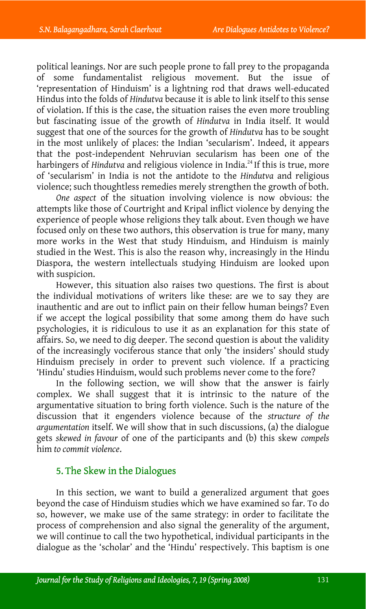political leanings. Nor are such people prone to fall prey to the propaganda of some fundamentalist religious movement. But the issue of 'representation of Hinduism' is a lightning rod that draws well-educate[d](#page-24-13)  Hindus into the folds of *Hindutva* because it is able to link itself to this sense of violation. If this is the case, the situation raises the even more troubling but fascinating issue of the growth of *Hindutva* in India itself. It would suggest that one of the sources for the growth of *Hindutva* has to be sought in the most unlikely of places: the Indian 'secularism'. Indeed, it appears that the post-independent Nehruvian secularism has been one of the harbingers of *Hindutva* and religious violence in India.<sup>24</sup> If this is true, more of 'secularism' in India is not the antidote to the *Hindutva* and religious violence; such thoughtless remedies merely strengthen the growth of both.

*One aspect* of the situation involving violence is now obvious: the attempts like those of Courtright and Kripal inflict violence by denying the experience of people whose religions they talk about. Even though we have focused only on these two authors, this observation is true for many, many more works in the West that study Hinduism, and Hinduism is mainly studied in the West. This is also the reason why, increasingly in the Hindu Diaspora, the western intellectuals studying Hinduism are looked upon with suspicion.

However, this situation also raises two questions. The first is about the individual motivations of writers like these: are we to say they are inauthentic and are out to inflict pain on their fellow human beings? Even if we accept the logical possibility that some among them do have such psychologies, it is ridiculous to use it as an explanation for this state of affairs. So, we need to dig deeper. The second question is about the validity of the increasingly vociferous stance that only 'the insiders' should study Hinduism precisely in order to prevent such violence. If a practicing 'Hindu' studies Hinduism, would such problems never come to the fore?

In the following section, we will show that the answer is fairly complex. We shall suggest that it is intrinsic to the nature of the argumentative situation to bring forth violence. Such is the nature of the discussion that it engenders violence because of the *structure of the argumentation* itself. We will show that in such discussions, (a) the dialogue gets *skewed in favour* of one of the participants and (b) this skew *compels* him *to commit violence*.

## 5. The Skew in the Dialogues

In this section, we want to build a generalized argument that goes beyond the case of Hinduism studies which we have examined so far. To do so, however, we make use of the same strategy: in order to facilitate the process of comprehension and also signal the generality of the argument, we will continue to call the two hypothetical, individual participants in the dialogue as the 'scholar' and the 'Hindu' respectively. This baptism is one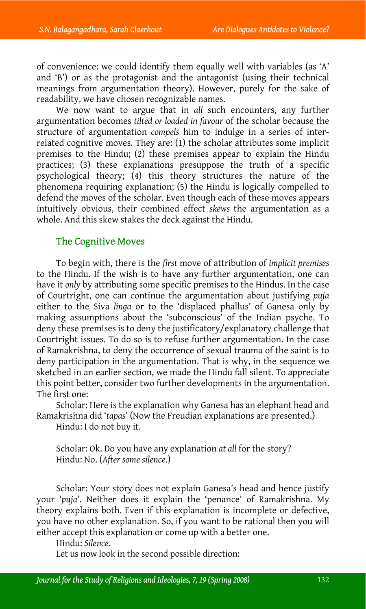of convenience: we could identify them equally well with variables (as 'A' and 'B') or as the protagonist and the antagonist (using their technical meanings from argumentation theory). However, purely for the sake of readability, we have chosen recognizable names.

We now want to argue that in *all* such encounters, any further argumentation becomes *tilted or loaded in favour* of the scholar because the structure of argumentation *compels* him to indulge in a series of interrelated cognitive moves. They are: (1) the scholar attributes some implicit premises to the Hindu; (2) these premises appear to explain the Hindu practices; (3) these explanations presuppose the truth of a specific psychological theory; (4) this theory structures the nature of the phenomena requiring explanation; (5) the Hindu is logically compelled to defend the moves of the scholar. Even though each of these moves appears intuitively obvious, their combined effect *skews* the argumentation as a whole. And this skew stakes the deck against the Hindu.

## The Cognitive Moves

To begin with, there is the *first* move of attribution of *implicit premises* to the Hindu. If the wish is to have any further argumentation, one can have it *only* by attributing some specific premises to the Hindus. In the case of Courtright, one can continue the argumentation about justifying *puja* either to the Siva *linga* or to the 'displaced phallus' of Ganesa only by making assumptions about the 'subconscious' of the Indian psyche. To deny these premises is to deny the justificatory/explanatory challenge that Courtright issues. To do so is to refuse further argumentation. In the case of Ramakrishna, to deny the occurrence of sexual trauma of the saint is to deny participation in the argumentation. That is why, in the sequence we sketched in an earlier section, we made the Hindu fall silent. To appreciate this point better, consider two further developments in the argumentation. The first one:

Scholar: Here is the explanation why Ganesa has an elephant head and Ramakrishna did '*tapas*' (Now the Freudian explanations are presented.)

Hindu: I do not buy it.

Scholar: Ok. Do you have any explanation *at all* for the story? Hindu: No. (*After some silence*.)

Scholar: Your story does not explain Ganesa's head and hence justify your '*puja*'. Neither does it explain the 'penance' of Ramakrishna. My theory explains both. Even if this explanation is incomplete or defective, you have no other explanation. So, if you want to be rational then you will either accept this explanation or come up with a better one.

Hindu: *Silence*.

Let us now look in the second possible direction: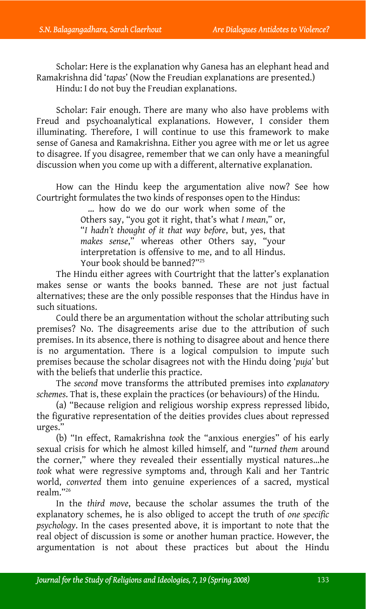Scholar: Here is the explanation why Ganesa has an elephant head and Ramakrishna did '*tapas*' (Now the Freudian explanations are presented.) Hindu: I do not buy the Freudian explanations.

Scholar: Fair enough. There are many who also have problems with Freud and psychoanalytical explanations. However, I consider them illuminating. Therefore, I will continue to use this framework to make sense of Ganesa and Ramakrishna. Either you agree with me or let us agree to disagree. If you disagree, remember that we can only have a meaningful discussion when you come up with a different, alternative explanation.

How can the Hindu keep the argumentation alive no[w?](#page-24-14) See how Courtright formulates the two kinds of responses open to the Hindus:

> … how do we do our work when some of the Others say, "you got it right, that's what *I mean*," or, "*I hadn't thought of it that way before*, but, yes, that *makes sense*," whereas other Others say, "your interpretation is offensive to me, and to all Hindus. Your book should be banned?"<sup>25</sup>

The Hindu either agrees with Courtright that the latter's explanation makes sense or wants the books banned. These are not just factual alternatives; these are the only possible responses that the Hindus have in such situations.

Could there be an argumentation without the scholar attributing such premises? No. The disagreements arise due to the attribution of such premises. In its absence, there is nothing to disagree about and hence there is no argumentation. There is a logical compulsion to impute such premises because the scholar disagrees not with the Hindu doing '*puja*' but with the beliefs that underlie this practice.

The *second* move transforms the attributed premises into *explanatory schemes*. That is, these explain the practices (or behaviours) of the Hindu.

(a) "Because religion and religious worship express repressed libido, the figurative representatio[n](#page-24-15) of the deities provides clues about repressed urges."

(b) "In effect, Ramakrishna *took* the "anxious energies" of his early sexual crisis for which he almost killed himself, and "*turned them* around the corner," where they revealed their essentially mystical natures…he *took* what were regressive symptoms and, through Kali and her Tantric world, *converted* them into genuine experiences of a sacred, mystical realm."26

In the *third move*, because the scholar assumes the truth of the explanatory schemes, he is also obliged to accept the truth of *one specific psychology*. In the cases presented above, it is important to note that the real object of discussion is some or another human practice. However, the argumentation is not about these practices but about the Hindu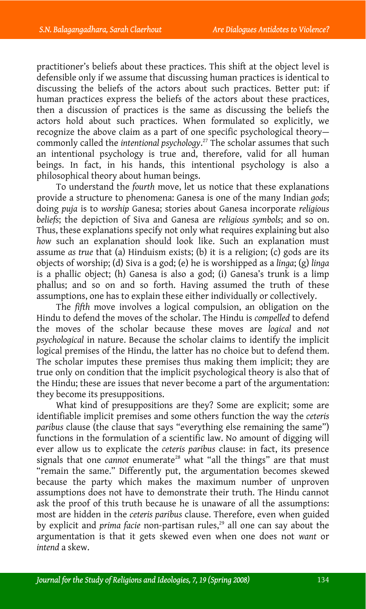practitioner's beliefs about these practices. This shift at the o[bje](#page-24-16)ct level is defensible only if we assume that discussing human practices is identical to discussing the beliefs of the actors about such practices. Better put: if human practices express the beliefs of the actors about these practices, then a discussion of practices is the same as discussing the beliefs the actors hold about such practices. When formulated so explicitly, we recognize the above claim as a part of one specific psychological theory commonly called the *intentional psychology*. 27 The scholar assumes that such an intentional psychology is true and, therefore, valid for all human beings. In fact, in his hands, this intentional psychology is also a philosophical theory about human beings.

To understand the *fourth* move, let us notice that these explanations provide a structure to phenomena: Ganesa is one of the many Indian *gods*; doing *puja* is to *worship* Ganesa; stories about Ganesa incorporate *religious beliefs*; the depiction of Siva and Ganesa are *religious symbols*; and so on. Thus, these explanations specify not only what requires explaining but also *how* such an explanation should look like. Such an explanation must assume *as true* that (a) Hinduism exists; (b) it is a religion; (c) gods are its objects of worship; (d) Siva is a god; (e) he is worshipped as a *linga*; (g) *linga* is a phallic object; (h) Ganesa is also a god; (i) Ganesa's trunk is a limp phallus; and so on and so forth. Having assumed the truth of these assumptions, one has to explain these either individually or collectively.

The *fifth* move involves a logical compulsion, an obligation on the Hindu to defend the moves of the scholar. The Hindu is *compelled* to defend the moves of the scholar because these moves are *logical* and *not psychological* in nature. Because the scholar claims to identify the implicit logical premises of the Hindu, the latter has no choice but to defend them. The scholar imputes these premises thus making them implicit; they are true only on condition that the implicit psychological theory is also that of the Hindu; these are issues that never become a part of [the](#page-24-17) argumentation: they become its presuppositions.

What kind of presuppositions are they? Some are explicit; some are identifiable implicit premises and some others function the way the *ceteris paribus* clause (the clause that says "everything else remaining the same") functions in the formulation of a scientific law. No amount of digging will ever allow us to explicate the *ceteris paribus* clause: in fact, its p[re](#page-24-18)sence signals that one *cannot* enumerate<sup>28</sup> what "all the things" are that must "remain the same." Differently put, the argumentation becomes skewed because the party which makes the maximum number of unproven assumptions does not have to demonstrate their truth. The Hindu cannot ask the proof of this truth because he is unaware of all the assumptions: most are hidden in the *ceteris paribus* clause. Therefore, even when guided by explicit and *prima facie* non-partisan rules,<sup>29</sup> all one can say about the argumentation is that it gets skewed even when one does not *want* or *intend* a skew.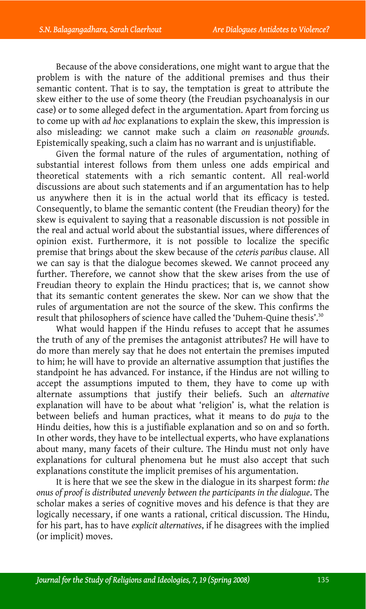Because of the above considerations, one might want to argue that the problem is with the nature of the additional premises and thus their semantic content. That is to say, the temptation is great to attribute the skew either to the use of some theory (the Freudian psychoanalysis in our case) or to some alleged defect in the argumentation. Apart from forcing us to come up with *ad hoc* explanations to explain the skew, this impression is also misleading: we cannot make such a claim *on reasonable grounds*. Epistemically speaking, such a claim has no warrant and is unjustifiable.

Given the formal nature of the rules of argumentation, nothing of substantial interest follows from them unless one adds empirical and theoretical statements with a rich semantic content. All real-world discussions are about such statements and if an argumentation has to help us anywhere then it is in the actual world that its efficacy is tested. Consequently, to blame the semantic content (the Freudian theory) for the skew is equivalent to saying that a reasonable discussion is not possible in the real and actual world about the substantial issues, where differences of opinion exist. Furthermore, it is not possible to localize the specific premise that brings about the skew because of the *ceteris paribus* clause. All we can say is that the dialogue becomes skewed. We cannot proceed any further. Therefore, we cannot show that the skew arises from the use of Freudian theory to explain the Hindu practices; that is, we cannot show that its semantic content generates the skew. Nor can we show that the rules of argumentation are not the source of the skew. This confirms the result that philosophers of science have called the 'Duhem-Quine thesis'.<sup>30</sup>

What would happen if the Hindu refuses to accept that he assumes the truth of any of the premises the antagonist attributes? He will have to do more than merely say that he does not entertain the premises imputed to him; he will have to provide an alternative assumption that justifies the standpoint he has advanced. For instance, if the Hindus are not willing to accept the assumptions imputed to them, they have to come up with alternate assumptions that justify their beliefs. Such an *alternative* explanation will have to be about what 'religion' is, what the relation is between beliefs and human practices, what it means to do *puja* to the Hindu deities, how this is a justifiable explanation and so on and so forth. In other words, they have to be intellectual experts, who have explanations about many, many facets of their culture. The Hindu must not only have explanations for cultural phenomena but he must also accept that such explanations constitute the implicit premises of his argumentation.

It is here that we see the skew in the dialogue in its sharpest form: *the onus of proof is distributed unevenly between the participants in the dialogue*. The scholar makes a series of cognitive moves and his defence is that they are logically necessary, if one wants a rational, critical discussion. The Hindu, for his part, has to have *explicit alternatives*, if he disagrees with the implied (or implicit) moves.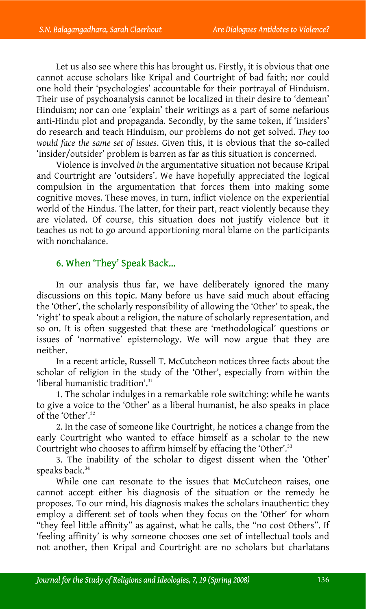Let us also see where this has brought us. Firstly, it is obvious that one cannot accuse scholars like Kripal and Courtright of bad faith; nor could one hold their 'psychologies' accountable for their portrayal of Hinduism. Their use of psychoanalysis cannot be localized in their desire to 'demean' Hinduism; nor can one 'explain' their writings as a part of some nefarious anti-Hindu plot and propaganda. Secondly, by the same token, if 'insiders' do research and teach Hinduism, our problems do not get solved. *They too would face the same set of issues*. Given this, it is obvious that the so-called 'insider/outsider' problem is barren as far as this situation is concerned.

Violence is involved *in* the argumentative situation not because Kripal and Courtright are 'outsiders'. We have hopefully appreciated the logical compulsion in the argumentation that forces them into making some cognitive moves. These moves, in turn, inflict violence on the experiential world of the Hindus. The latter, for their part, react violently because they are violated. Of course, this situation does not justify violence but it teaches us not to go around apportioning moral blame on the participants with nonchalance.

## 6. When 'They' Speak Back…

In our analysis thus far, we have deliberately ignored the many discussions on this topic. Many before us have said much about effacing the 'Other', the scholarly responsibility of allowi[ng](#page-24-19) the 'Other' to speak, the 'right' to speak about a religion, the nature of scholarly representation, and so on. It is often suggested that these are 'methodological' questions or issues of 'normative' epistemolo[gy](#page-24-20). We will now argue that they are neither.

In a recent article, Russell T. McCutcheon notices three facts about the scholar of religion in the study of the 'Other', especially from within the 'liberal humanistic tradition'. 31

1. The scholar indulges in a [re](#page-24-21)markable role switching: while he wants to give a voice to the 'Other' as a liberal humanist, he also speaks in place of the 'Other'. 32

2. In the case of someone like Courtright, he notices a change from the early Courtright who wanted to efface himself as a scholar to the new Courtright who chooses to affirm himself by effacing the 'Other'.<sup>33</sup>

3. The inability of the scholar to digest dissent when the 'Other' speaks back.<sup>34</sup>

While one can resonate to the issues that McCutcheon raises, one cannot accept either his diagnosis of the situation or the remedy he proposes. To our mind, his diagnosis makes the scholars inauthentic: they employ a different set of tools when they focus on the 'Other' for whom "they feel little affinity" as against, what he calls, the "no cost Others". If 'feeling affinity' is why someone chooses one set of intellectual tools and not another, then Kripal and Courtright are no scholars but charlatans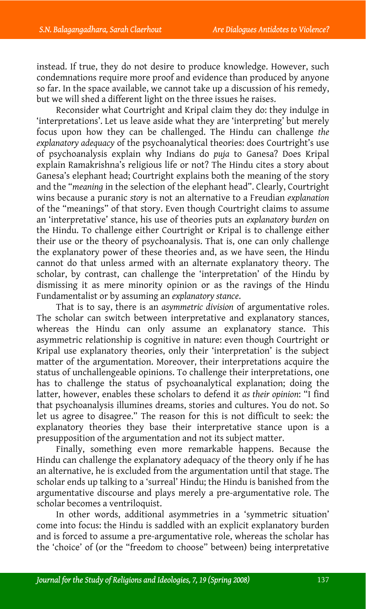instead. If true, they do not desire to produce knowledge. However, such condemnations require more proof and evidence than produced by anyone so far. In the space available, we cannot take up a discussion of his remedy, but we will shed a different light on the three issues he raises.

Reconsider what Courtright and Kripal claim they do: they indulge in 'interpretations'. Let us leave aside what they are 'interpreting' but merely focus upon how they can be challenged. The Hindu can challenge *the explanatory adequacy* of the psychoanalytical theories: does Courtright's use of psychoanalysis explain why Indians do *puja* to Ganesa? Does Kripal explain Ramakrishna's religious life or not? The Hindu cites a story about Ganesa's elephant head; Courtright explains both the meaning of the story and the "*meaning* in the selection of the elephant head". Clearly, Courtright wins because a puranic *story* is not an alternative to a Freudian *explanation* of the "meanings" of that story. Even though Courtright claims to assume an 'interpretative' stance, his use of theories puts an *explanatory burden* on the Hindu. To challenge either Courtright or Kripal is to challenge either their use or the theory of psychoanalysis. That is, one can only challenge the explanatory power of these theories and, as we have seen, the Hindu cannot do that unless armed with an alternate explanatory theory. The scholar, by contrast, can challenge the 'interpretation' of the Hindu by dismissing it as mere minority opinion or as the ravings of the Hindu Fundamentalist or by assuming an *explanatory stance*.

That is to say, there is an *asymmetric division* of argumentative roles. The scholar can switch between interpretative and explanatory stances, whereas the Hindu can only assume an explanatory stance. This asymmetric relationship is cognitive in nature: even though Courtright or Kripal use explanatory theories, only their 'interpretation' is the subject matter of the argumentation. Moreover, their interpretations acquire the status of unchallengeable opinions. To challenge their interpretations, one has to challenge the status of psychoanalytical explanation; doing the latter, however, enables these scholars to defend it *as their opinion*: "I find that psychoanalysis illumines dreams, stories and cultures. You do not. So let us agree to disagree." The reason for this is not difficult to seek: the explanatory theories they base their interpretative stance upon is a presupposition of the argumentation and not its subject matter.

Finally, something even more remarkable happens. Because the Hindu can challenge the explanatory adequacy of the theory only if he has an alternative, he is excluded from the argumentation until that stage. The scholar ends up talking to a 'surreal' Hindu; the Hindu is banished from the argumentative discourse and plays merely a pre-argumentative role. The scholar becomes a ventriloquist.

In other words, additional asymmetries in a 'symmetric situation' come into focus: the Hindu is saddled with an explicit explanatory burden and is forced to assume a pre-argumentative role, whereas the scholar has the 'choice' of (or the "freedom to choose" between) being interpretative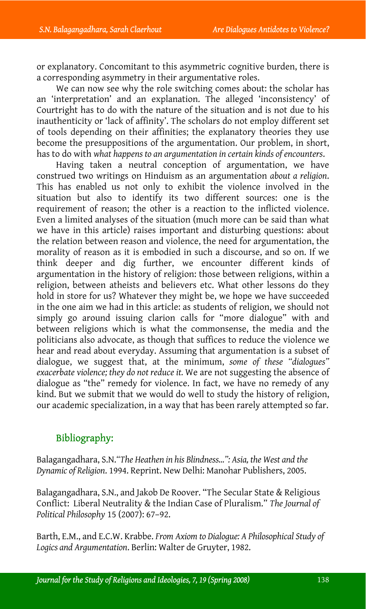or explanatory. Concomitant to this asymmetric cognitive burden, there is a corresponding asymmetry in their argumentative roles.

We can now see why the role switching comes about: the scholar has an 'interpretation' and an explanation. The alleged 'inconsistency' of Courtright has to do with the nature of the situation and is not due to his inauthenticity or 'lack of affinity'. The scholars do not employ different set of tools depending on their affinities; the explanatory theories they use become the presuppositions of the argumentation. Our problem, in short, has to do with *what happens to an argumentation in certain kinds of encounters*.

Having taken a neutral conception of argumentation, we have construed two writings on Hinduism as an argumentation *about a religion*. This has enabled us not only to exhibit the violence involved in the situation but also to identify its two different sources: one is the requirement of reason; the other is a reaction to the inflicted violence. Even a limited analyses of the situation (much more can be said than what we have in this article) raises important and disturbing questions: about the relation between reason and violence, the need for argumentation, the morality of reason as it is embodied in such a discourse, and so on. If we think deeper and dig further, we encounter different kinds of argumentation in the history of religion: those between religions, within a religion, between atheists and believers etc. What other lessons do they hold in store for us? Whatever they might be, we hope we have succeeded in the one aim we had in this article: as students of religion, we should not simply go around issuing clarion calls for "more dialogue" with and between religions which is what the commonsense, the media and the politicians also advocate, as though that suffices to reduce the violence we hear and read about everyday. Assuming that argumentation is a subset of dialogue, we suggest that, at the minimum, *some of these "dialogues" exacerbate violence; they do not reduce it.* We are not suggesting the absence of dialogue as "the" remedy for violence. In fact, we have no remedy of any kind. But we submit that we would do well to study the history of religion, our academic specialization, in a way that has been rarely attempted so far.

## Bibliography:

Balagangadhara, S.N.*"The Heathen in his Blindness…": Asia, the West and the Dynamic of Religion*. 1994. Reprint. New Delhi: Manohar Publishers, 2005.

Balagangadhara, S.N., and Jakob De Roover. "The Secular State & Religious Conflict: Liberal Neutrality & the Indian Case of Pluralism." *The Journal of Political Philosophy* 15 (2007): 67–92.

Barth, E.M., and E.C.W. Krabbe. *From Axiom to Dialogue: A Philosophical Study of Logics and Argumentation*. Berlin: Walter de Gruyter, 1982.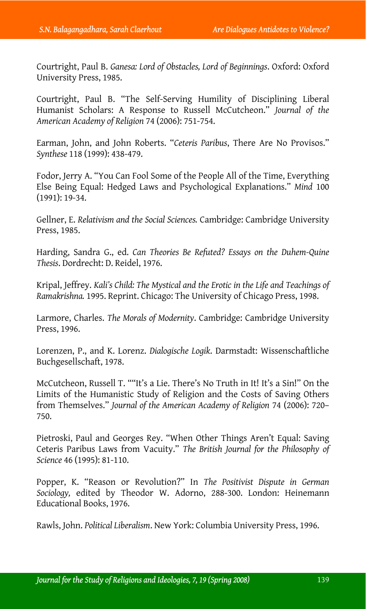Courtright, Paul B. *Ganesa: Lord of Obstacles, Lord of Beginnings*. Oxford: Oxford University Press, 1985.

Courtright, Paul B. "The Self-Serving Humility of Disciplining Liberal Humanist Scholars: A Response to Russell McCutcheon." *Journal of the American Academy of Religion* 74 (2006): 751-754.

Earman, John, and John Roberts. "*Ceteris Paribus*, There Are No Provisos." *Synthese* 118 (1999): 438-479.

Fodor, Jerry A. "You Can Fool Some of the People All of the Time, Everything Else Being Equal: Hedged Laws and Psychological Explanations." *Mind* 100 (1991): 19-34.

Gellner, E. *Relativism and the Social Sciences.* Cambridge: Cambridge University Press, 1985.

Harding, Sandra G., ed. *Can Theories Be Refuted? Essays on the Duhem-Quine Thesis*. Dordrecht: D. Reidel, 1976.

Kripal, Jeffrey. *Kali's Child: The Mystical and the Erotic in the Life and Teachings of Ramakrishna.* 1995. Reprint. Chicago: The University of Chicago Press, 1998.

Larmore, Charles. *The Morals of Modernity*. Cambridge: Cambridge University Press, 1996.

Lorenzen, P., and K. Lorenz. *Dialogische Logik*. Darmstadt: Wissenschaftliche Buchgesellschaft, 1978.

McCutcheon, Russell T. ""It's a Lie. There's No Truth in It! It's a Sin!" On the Limits of the Humanistic Study of Religion and the Costs of Saving Others from Themselves." *Journal of the American Academy of Religion* 74 (2006): 720– 750.

Pietroski, Paul and Georges Rey. "When Other Things Aren't Equal: Saving Ceteris Paribus Laws from Vacuity." *The British Journal for the Philosophy of Science* 46 (1995): 81-110.

Popper, K. "Reason or Revolution?" In *The Positivist Dispute in German Sociology,* edited by Theodor W. Adorno, 288-300. London: Heinemann Educational Books, 1976.

Rawls, John. *Political Liberalism*. New York: Columbia University Press, 1996.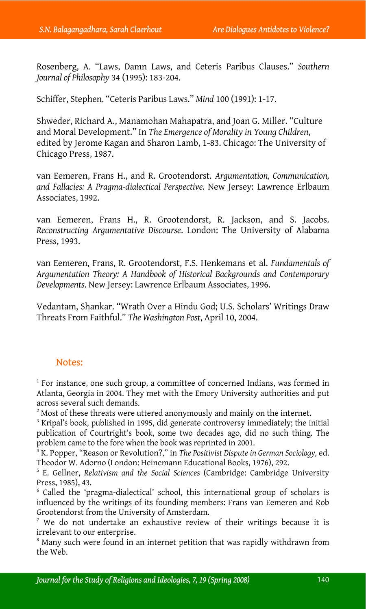Rosenberg, A. "Laws, Damn Laws, and Ceteris Paribus Clauses." *Southern Journal of Philosophy* 34 (1995): 183-204.

Schiffer, Stephen. "Ceteris Paribus Laws." *Mind* 100 (1991): 1-17.

Shweder, Richard A., Manamohan Mahapatra, and Joan G. Miller. "Culture and Moral Development." In *The Emergence of Morality in Young Children*, edited by Jerome Kagan and Sharon Lamb, 1-83. Chicago: The University of Chicago Press, 1987.

van Eemeren, Frans H., and R. Grootendorst. *Argumentation, Communication, and Fallacies: A Pragma-dialectical Perspective.* New Jersey: Lawrence Erlbaum Associates, 1992.

van Eemeren, Frans H., R. Grootendorst, R. Jackson, and S. Jacobs. *Reconstructing Argumentative Discourse*. London: The University of Alabama Press, 1993.

van Eemeren, Frans, R. Grootendorst, F.S. Henkemans et al. *Fundamentals of Argumentation Theory: A Handbook of Historical Backgrounds and Contemporary Developments*. New Jersey: Lawrence Erlbaum Associates, 1996.

Vedantam, Shankar. "Wrath Over a Hindu God; U.S. Scholars' Writings Draw Threats From Faithful." *The Washington Post*, April 10, 2004.

## Notes:

<sup>1</sup> For instance, one such group, a committee of concerned Indians, was formed in Atlanta, Georgia in 2004. They met with the Emory University authorities and put across several such demands.

 $2^2$  Most of these threats were uttered anonymously and mainly on the internet.

 $3$  Kripal's book, published in 1995, did generate controversy immediately; the initial publication of Courtright's book, some two decades ago, did no such thing. The problem came to the fore when the book was reprinted in 2001. 4

<sup>4</sup> K. Popper, "Reason or Revolution?," in *The Positivist Dispute in German Sociology*, ed. Theodor W. Adorno (London: Heinemann Educational Books, 1976), 292. 5

 E. Gellner, *Relativism and the Social Sciences* (Cambridge: Cambridge University Press, 1985), 43. 6

 $6$  Called the 'pragma-dialectical' school, this international group of scholars is influenced by the writings of its founding members: Frans van Eemeren and Rob Grootendorst from the University of Amsterdam. 7

 $\frac{1}{2}$  We do not undertake an exhaustive review of their writings because it is irrelevant to our enterprise.

<sup>8</sup> Many such were found in an internet petition that was rapidly withdrawn from the Web.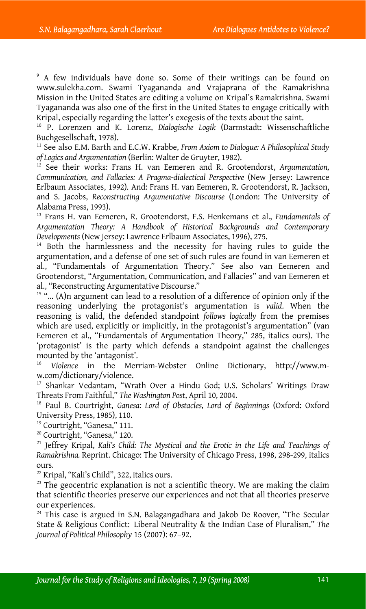9 A few individuals have done so. Some of their writings can be found on www.sulekha.com. Swami Tyagananda and Vrajaprana of the Ramakrishna Mission in the United States are editing a volume on Kripal's Ramakrishna. Swami Tyagananda was also one of the first in the United States to engage critically with Kripal, especially regarding the latter's exegesis of the texts about the saint.<br><sup>10</sup> P. Lorenzen and K. Lorenz, *Dialogische Logik* (Darmstadt: Wissenschaftliche

Buchgesellschaft, 1978).<br><sup>11</sup> See also E.M. Barth and E.C.W. Krabbe, *From Axiom to Dialogue: A Philosophical Stud*y

*of Logics and Argumentation* (Berlin: Walter de Gruyter, 1982). 12 See their works: Frans H. van Eemeren and R. Grootendorst, *Argumentation,*

*Communication, and Fallacies: A Pragma-dialectical Perspective* (New Jersey: Lawrence Erlbaum Associates, 1992). And: Frans H. van Eemeren, R. Grootendorst, R. Jackson, and S. Jacobs, *Reconstructing Argumentative Discourse* (London: The University of Alabama Press, 1993).

<sup>13</sup> Frans H. van Eemeren, R. Grootendorst, F.S. Henkemans et al., *Fundamentals of Argumentation Theory: A Handbook of Historical Backgrounds and Contemporary Developments* (New Jersey: Lawrence Erlbaum Associates, 1996), 275.<br><sup>14</sup> Both the harmlessness and the necessity for having rules to guide the

argumentation, and a defense of one set of such rules are found in van Eemeren et al., "Fundamentals of Argumentation Theory." See also van Eemeren and Grootendorst, "Argumentation, Communication, and Fallacies" and van Eemeren et al., "Reconstructing Argumentative Discourse."

 $15$  "... (A)n argument can lead to a resolution of a difference of opinion only if the reasoning underlying the protagonist's argumentation is *valid*. When the reasoning is valid, the defended standpoint *follows logically* from the premises which are used, explicitly or implicitly, in the protagonist's argumentation" (van Eemeren et al., "Fundamentals of Argumentation Theory," 285, italics ours). The 'protagonist' is the party which defends a standpoint against the challenges mounted by the 'antagonist'. 16 *Violence* in the Merriam-Webster Online Dictionary, http://www.m-

w.com/dictionary/violence.<br><sup>17</sup> Shankar Vedantam, "Wrath Over a Hindu God; U.S. Scholars' Writings Draw Threats From Faithful," *The Washington Post*, April 10, 2004.

<sup>18</sup> Paul B. Courtright, *Ganesa: Lord of Obstacles, Lord of Beginnings* (Oxford: Oxford University Press, 1985), 110.

<sup>19</sup> Courtright, "Ganesa," 111.

<sup>20</sup> Courtright, "Ganesa," 120.

21 Jeffrey Kripal, *Kali's Child: The Mystical and the Erotic in the Life and Teachings of Ramakrishna.* Reprint. Chicago: The University of Chicago Press, 1998, 298-299, italics ours.

<sup>22</sup> Kripal, "Kali's Child", 322, italics ours.<br><sup>23</sup> The geocentric explanation is not a scientific theory. We are making the claim that scientific theories preserve our experiences and not that all theories preserve our experiences.

 $24$  This case is argued in S.N. Balagangadhara and Jakob De Roover, "The Secular State & Religious Conflict: Liberal Neutrality & the Indian Case of Pluralism," *The Journal of Political Philosophy* 15 (2007): 67–92.